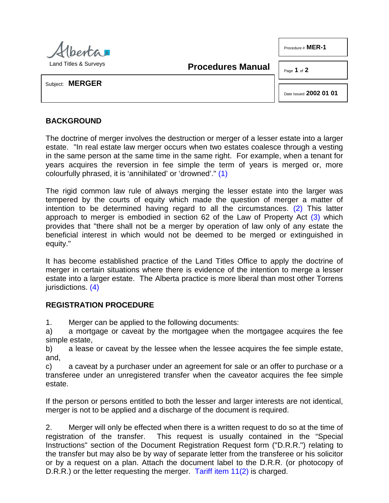

**Procedures Manual**

Page **1** of **2**

Procedure # **MER-1**

Subject: **MERGER**

<span id="page-0-2"></span><span id="page-0-1"></span><span id="page-0-0"></span>Date Issued **2002 01 01**

## **BACKGROUND**

The doctrine of merger involves the destruction or merger of a lesser estate into a larger estate. "In real estate law merger occurs when two estates coalesce through a vesting in the same person at the same time in the same right. For example, when a tenant for years acquires the reversion in fee simple the term of years is merged or, more colourfully phrased, it is 'annihilated' or 'drowned'." [\(1\)](#page-1-0)

The rigid common law rule of always merging the lesser estate into the larger was tempered by the courts of equity which made the question of merger a matter of intention to be determined having regard to all the circumstances. [\(2\)](#page-1-1) This latter approach to merger is embodied in section 62 of the Law of Property Act [\(3\)](#page-1-2) which provides that "there shall not be a merger by operation of law only of any estate the beneficial interest in which would not be deemed to be merged or extinguished in equity."

It has become established practice of the Land Titles Office to apply the doctrine of merger in certain situations where there is evidence of the intention to merge a lesser estate into a larger estate. The Alberta practice is more liberal than most other Torrens jurisdictions. [\(4\)](#page-1-3)

## <span id="page-0-3"></span>**REGISTRATION PROCEDURE**

1. Merger can be applied to the following documents:

a) a mortgage or caveat by the mortgagee when the mortgagee acquires the fee simple estate,

b) a lease or caveat by the lessee when the lessee acquires the fee simple estate, and,

c) a caveat by a purchaser under an agreement for sale or an offer to purchase or a transferee under an unregistered transfer when the caveator acquires the fee simple estate.

If the person or persons entitled to both the lesser and larger interests are not identical, merger is not to be applied and a discharge of the document is required.

2. Merger will only be effected when there is a written request to do so at the time of registration of the transfer. This request is usually contained in the "Special Instructions" section of the Document Registration Request form ("D.R.R.") relating to the transfer but may also be by way of separate letter from the transferee or his solicitor or by a request on a plan. Attach the document label to the D.R.R. (or photocopy of D.R.R.) or the letter requesting the merger. [Tariff item 11\(2\)](http://www.servicealberta.ca/pdf/ltmanual/APPENDIXI.PDF) is charged.